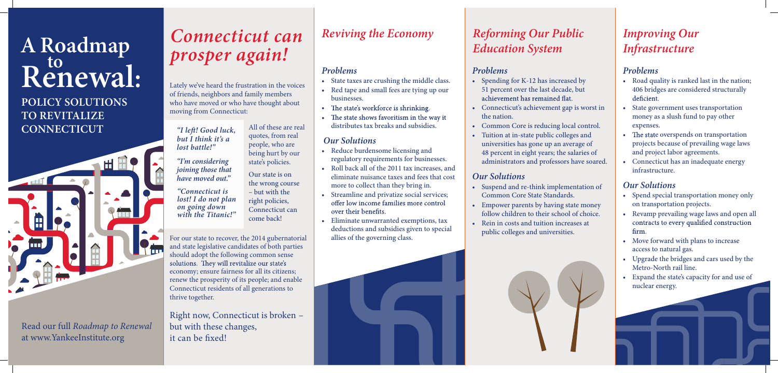

#### **POLICY SOLUTIONS TO REVITALIZE CONNECTICUT**

# **Renewal: <sup>A</sup> Roadmap to**

Read our full *Roadmap to Renewal*  at www.YankeeInstitute.org

#### *Problems*

- Spending for K-12 has increased by 51 percent over the last decade, but achievement has remained flat.
- Connecticut's achievement gap is worst in the nation.
- Common Core is reducing local control.
- Tuition at in-state public colleges and universities has gone up an average of 48 percent in eight years; the salaries of administrators and professors have soared.

#### *Our Solutions*

- Suspend and re-think implementation of Common Core State Standards.
- Empower parents by having state money follow children to their school of choice.
- Rein in costs and tuition increases at public colleges and universities.

- Spend special transportation money only on transportation projects.
- Revamp prevailing wage laws and open all contracts to every qualified construction firm.
- Move forward with plans to increase access to natural gas.
- Upgrade the bridges and cars used by the Metro-North rail line.
- Expand the state's capacity for and use of nuclear energy.

#### *Problems*

- Road quality is ranked last in the nation; 406 bridges are considered structurally deficient.
- State government uses transportation money as a slush fund to pay other expenses.
- The state overspends on transportation projects because of prevailing wage laws and project labor agreements.
- Connecticut has an inadequate energy infrastructure.

#### *Our Solutions*

Right now, Connecticut is broken – but with these changes, it can be fixed!

*"I left!* Good luck, *but I think it's a lost battle!"*

#### *Problems*

- State taxes are crushing the middle class.
- Red tape and small fees are tying up our businesses.
- The state's workforce is shrinking.
- The state shows favoritism in the way it distributes tax breaks and subsidies.

#### *Our Solutions*

- Reduce burdensome licensing and regulatory requirements for businesses.
- Roll back all of the 2011 tax increases, and eliminate nuisance taxes and fees that cost more to collect than they bring in.
- Streamline and privatize social services;<br>offer low income families more control over their benefits.
- Eliminate unwarranted exemptions, tax deductions and subsidies given to special allies of the governing class.



#### *Reviving the Economy Reforming Our Public Education System*

#### *Improving Our Infrastructure*

## *Connecticut can prosper again!*

Lately we've heard the frustration in the voices of friends, neighbors and family members who have moved or who have thought about moving from Connecticut:

For our state to recover, the 2014 gubernatorial and state legislative candidates of both parties should adopt the following common sense<br>solutions. They will revitalize our state's economy; ensure fairness for all its citizens; renew the prosperity of its people; and enable Connecticut residents of all generations to thrive together.

*"Connecticut is lost! I do not plan on going down with the Titanic!"*

*"I'm considering joining those that have moved out."* All of these are real quotes, from real people, who are being hurt by our state's policies.

Our state is on the wrong course – but with the right policies, Connecticut can come back!